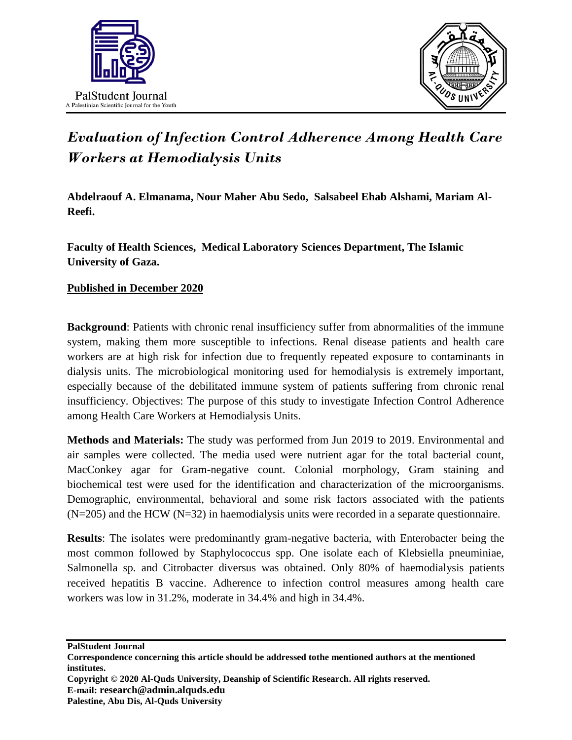



## *Evaluation of Infection Control Adherence Among Health Care Workers at Hemodialysis Units*

**Abdelraouf A. Elmanama, Nour Maher Abu Sedo, Salsabeel Ehab Alshami, Mariam Al-Reefi.**

**Faculty of Health Sciences, Medical Laboratory Sciences Department, The Islamic University of Gaza.**

## **Published in December 2020**

**Background**: Patients with chronic renal insufficiency suffer from abnormalities of the immune system, making them more susceptible to infections. Renal disease patients and health care workers are at high risk for infection due to frequently repeated exposure to contaminants in dialysis units. The microbiological monitoring used for hemodialysis is extremely important, especially because of the debilitated immune system of patients suffering from chronic renal insufficiency. Objectives: The purpose of this study to investigate Infection Control Adherence among Health Care Workers at Hemodialysis Units.

**Methods and Materials:** The study was performed from Jun 2019 to 2019. Environmental and air samples were collected. The media used were nutrient agar for the total bacterial count, MacConkey agar for Gram-negative count. Colonial morphology, Gram staining and biochemical test were used for the identification and characterization of the microorganisms. Demographic, environmental, behavioral and some risk factors associated with the patients  $(N=205)$  and the HCW  $(N=32)$  in haemodialysis units were recorded in a separate questionnaire.

**Results**: The isolates were predominantly gram-negative bacteria, with Enterobacter being the most common followed by Staphylococcus spp. One isolate each of Klebsiella pneuminiae, Salmonella sp. and Citrobacter diversus was obtained. Only 80% of haemodialysis patients received hepatitis B vaccine. Adherence to infection control measures among health care workers was low in 31.2%, moderate in 34.4% and high in 34.4%.

**PalStudent Journal**

**Copyright © 2020 Al-Quds University, Deanship of Scientific Research. All rights reserved. E-mail: research@admin.alquds.edu Palestine, Abu Dis, Al-Quds University**

**Correspondence concerning this article should be addressed tothe mentioned authors at the mentioned institutes.**